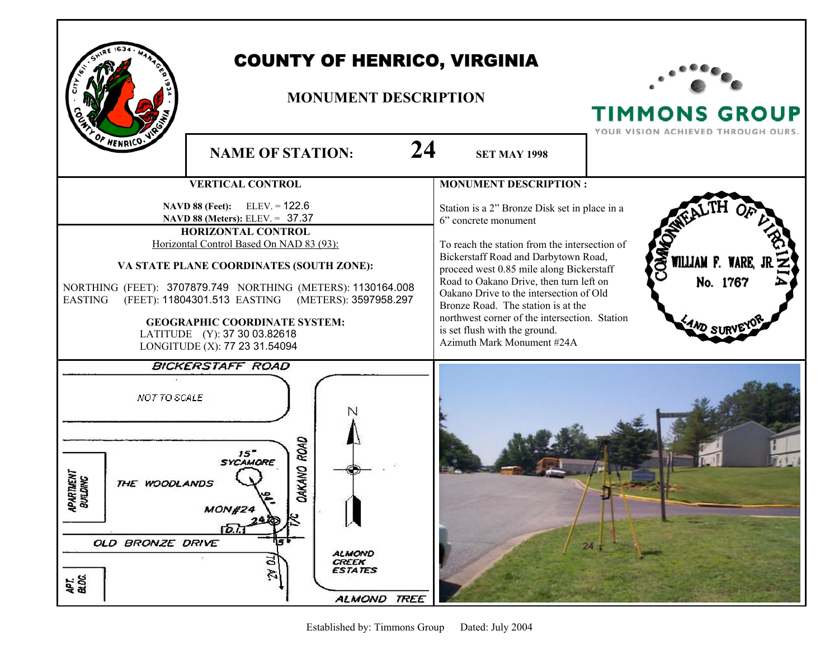

## COUNTY OF HENRICO, VIRGINIA

## **MONUMENT DESCRIPTION**



**TIMMONS GROUP**